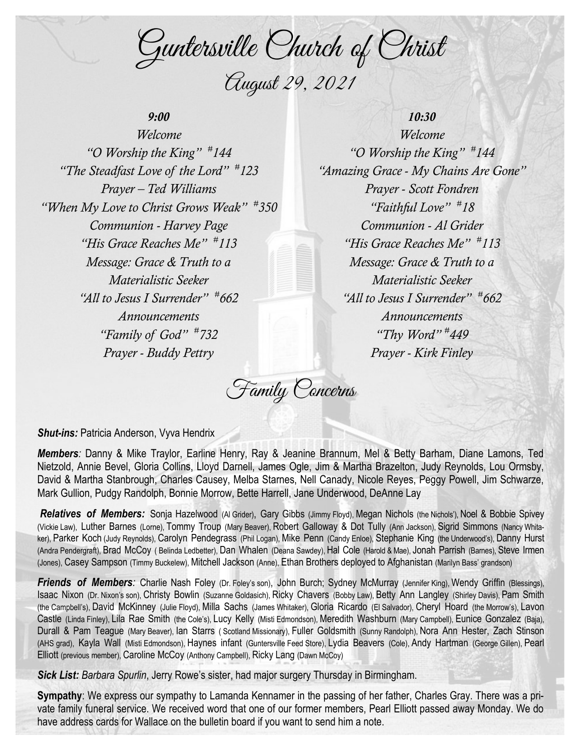Guntersville Church of Christ August 29, 2021

## *9:00*

*Welcome "O Worship the King" # 144 "The Steadfast Love of the Lord" # 123 Prayer – Ted Williams "When My Love to Christ Grows Weak" # 350 Communion - Harvey Page "His Grace Reaches Me" # 113 Message: Grace & Truth to a Materialistic Seeker "All to Jesus I Surrender" # 662 Announcements "Family of God" # 732 Prayer - Buddy Pettry*

*10:30 Welcome "O Worship the King" # 144 "Amazing Grace - My Chains Are Gone" Prayer - Scott Fondren "Faithful Love" # 18 Communion - Al Grider "His Grace Reaches Me" # 113 Message: Grace & Truth to a Materialistic Seeker "All to Jesus I Surrender" # 662 Announcements "Thy Word" # 449 Prayer - Kirk Finley*

Family Concerns

**Shut-ins: Patricia Anderson, Vyva Hendrix** 

*Members:* Danny & Mike Traylor, Earline Henry, Ray & Jeanine Brannum, Mel & Betty Barham, Diane Lamons, Ted Nietzold, Annie Bevel, Gloria Collins, Lloyd Darnell, James Ogle, Jim & Martha Brazelton, Judy Reynolds, Lou Ormsby, David & Martha Stanbrough, Charles Causey, Melba Starnes, Nell Canady, Nicole Reyes, Peggy Powell, Jim Schwarze, Mark Gullion, Pudgy Randolph, Bonnie Morrow, Bette Harrell, Jane Underwood, DeAnne Lay

*Relatives of Members:* Sonja Hazelwood (Al Grider), Gary Gibbs (Jimmy Floyd), Megan Nichols (the Nichols'), Noel & Bobbie Spivey (Vickie Law), Luther Barnes (Lorne), Tommy Troup (Mary Beaver), Robert Galloway & Dot Tully (Ann Jackson), Sigrid Simmons (Nancy Whitaker), Parker Koch (Judy Reynolds), Carolyn Pendegrass (Phil Logan), Mike Penn (Candy Enloe), Stephanie King (the Underwood's), Danny Hurst (Andra Pendergraft), Brad McCoy ( Belinda Ledbetter), Dan Whalen (Deana Sawdey), Hal Cole (Harold & Mae), Jonah Parrish (Barnes), Steve Irmen (Jones), Casey Sampson (Timmy Buckelew), Mitchell Jackson (Anne), Ethan Brothers deployed to Afghanistan (Marilyn Bass' grandson)

**Friends of Members**: Charlie Nash Foley (Dr. Foley's son), John Burch; Sydney McMurray (Jennifer King), Wendy Griffin (Blessings), Isaac Nixon (Dr. Nixon's son), Christy Bowlin (Suzanne Goldasich), Ricky Chavers (Bobby Law), Betty Ann Langley (Shirley Davis), Pam Smith (the Campbell's), David McKinney (Julie Floyd), Milla Sachs (James Whitaker), Gloria Ricardo (El Salvador), Cheryl Hoard (the Morrow's), Lavon Castle (Linda Finley), Lila Rae Smith (the Cole's), Lucy Kelly (Misti Edmondson), Meredith Washburn (Mary Campbell), Eunice Gonzalez (Baja), Durall & Pam Teague (Mary Beaver), Ian Starrs ( Scotland Missionary), Fuller Goldsmith (Sunny Randolph), Nora Ann Hester, Zach Stinson (AHS grad), Kayla Wall (Misti Edmondson), Haynes infant (Guntersville Feed Store), Lydia Beavers (Cole), Andy Hartman (George Gillen), Pearl Elliott (previous member), Caroline McCoy (Anthony Campbell), Ricky Lang (Dawn McCoy)

*Sick List: Barbara Spurlin*, Jerry Rowe's sister, had major surgery Thursday in Birmingham.

**Sympathy**: We express our sympathy to Lamanda Kennamer in the passing of her father, Charles Gray. There was a private family funeral service. We received word that one of our former members, Pearl Elliott passed away Monday. We do have address cards for Wallace on the bulletin board if you want to send him a note.